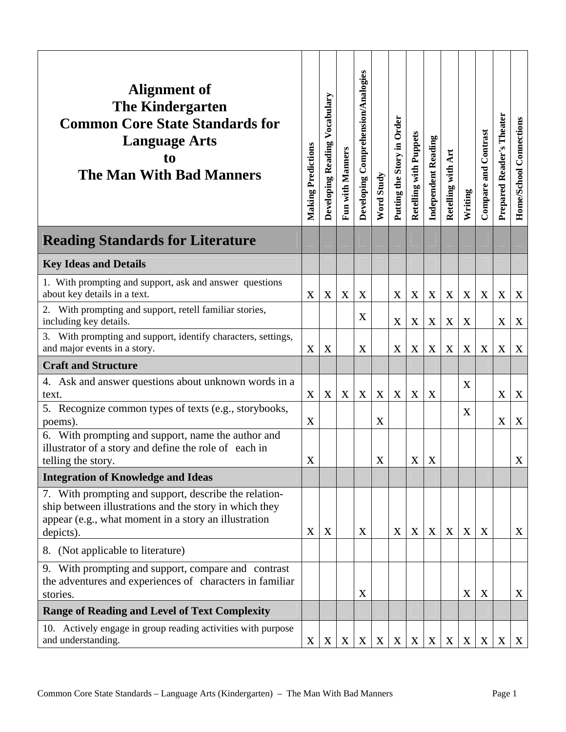| Alignment of<br><b>The Kindergarten</b><br><b>Common Core State Standards for</b><br><b>Language Arts</b><br>to<br><b>The Man With Bad Manners</b>                                   | <b>Making Predictions</b> | Developing Reading Vocabulary | Fun with Manners | Developing Comprehension/Analogies | Word Study | Putting the Story in Order | Retelling with Puppets | <b>Independent Reading</b> | Art<br>Retelling with     | Writing     | Compare and Contrast      | Prepared Reader's Theater | Home/School Connections |
|--------------------------------------------------------------------------------------------------------------------------------------------------------------------------------------|---------------------------|-------------------------------|------------------|------------------------------------|------------|----------------------------|------------------------|----------------------------|---------------------------|-------------|---------------------------|---------------------------|-------------------------|
| <b>Reading Standards for Literature</b>                                                                                                                                              |                           |                               |                  |                                    |            |                            |                        |                            |                           |             |                           |                           |                         |
| <b>Key Ideas and Details</b>                                                                                                                                                         |                           |                               |                  |                                    |            |                            |                        |                            |                           |             |                           |                           |                         |
| 1. With prompting and support, ask and answer questions<br>about key details in a text.                                                                                              | X                         | X                             | X                | X                                  |            | X                          | X                      | X                          | X                         | X           | X                         | X                         | X                       |
| 2. With prompting and support, retell familiar stories,<br>including key details.                                                                                                    |                           |                               |                  | X                                  |            | X                          | $\boldsymbol{X}$       | X                          | $\boldsymbol{\mathrm{X}}$ | X           |                           | X                         | X                       |
| 3. With prompting and support, identify characters, settings,<br>and major events in a story.                                                                                        | X                         | $\boldsymbol{X}$              |                  | X                                  |            | X                          | $\mathbf X$            | X                          | X                         | X           | X                         | X                         | X                       |
| <b>Craft and Structure</b>                                                                                                                                                           |                           |                               |                  |                                    |            |                            |                        |                            |                           |             |                           |                           |                         |
| 4. Ask and answer questions about unknown words in a<br>text.                                                                                                                        | X                         | X                             | X                | X                                  | X          | X                          | X                      | X                          |                           | X           |                           | X                         | X                       |
| 5. Recognize common types of texts (e.g., storybooks,<br>poems).                                                                                                                     | X                         |                               |                  |                                    | X          |                            |                        |                            |                           | X           |                           | X                         | X                       |
| 6. With prompting and support, name the author and<br>illustrator of a story and define the role of each in<br>telling the story.                                                    | X                         |                               |                  |                                    | X          |                            | $\mathbf{X}$           | X                          |                           |             |                           |                           | X                       |
| <b>Integration of Knowledge and Ideas</b>                                                                                                                                            |                           |                               |                  |                                    |            |                            |                        |                            |                           |             |                           |                           |                         |
| 7. With prompting and support, describe the relation-<br>ship between illustrations and the story in which they<br>appear (e.g., what moment in a story an illustration<br>depicts). | X                         | X                             |                  | X                                  |            | X                          | $\mathbf X$            | X                          | X                         | $\mathbf X$ | X                         |                           | X                       |
| 8. (Not applicable to literature)                                                                                                                                                    |                           |                               |                  |                                    |            |                            |                        |                            |                           |             |                           |                           |                         |
| 9. With prompting and support, compare and contrast<br>the adventures and experiences of characters in familiar<br>stories.                                                          |                           |                               |                  | X                                  |            |                            |                        |                            |                           | $\mathbf X$ | $\mathbf X$               |                           | X                       |
| <b>Range of Reading and Level of Text Complexity</b>                                                                                                                                 |                           |                               |                  |                                    |            |                            |                        |                            |                           |             |                           |                           |                         |
| 10. Actively engage in group reading activities with purpose<br>and understanding.                                                                                                   | $\mathbf X$               | X                             | X                | X                                  | X          | X                          | $\mathbf X$            | $\mathbf X$                | $\mathbf X$               | X           | $\boldsymbol{\mathrm{X}}$ | X                         | $\mathbf{X}$            |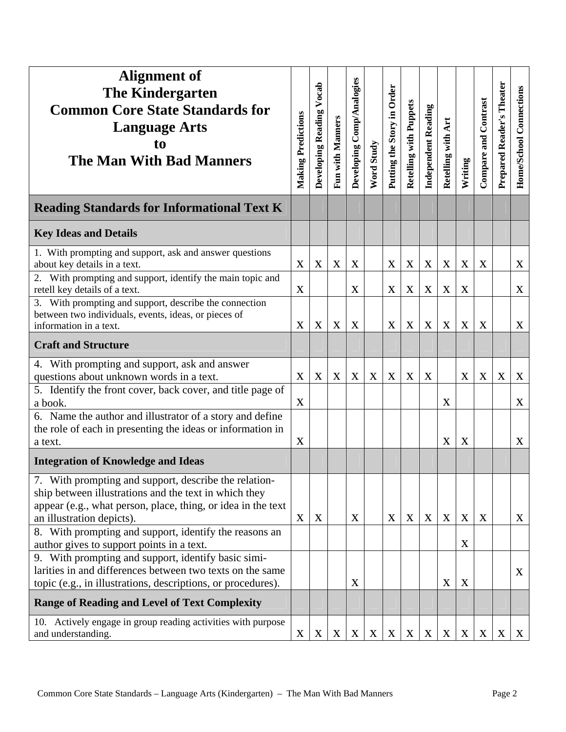| <b>Alignment of</b><br><b>The Kindergarten</b><br><b>Common Core State Standards for</b><br><b>Language Arts</b><br>to<br><b>The Man With Bad Manners</b>                                                   | <b>Making Predictions</b> | Vocab<br>Developing Reading | Fun with Manners          | Developing Comp/Analogies | Word Study       | Putting the Story in Order | <b>Retelling with Puppets</b> | <b>Independent Reading</b> | Retelling with Art | Writing     | Compare and Contrast | Prepared Reader's Theater | Home/School Connections   |
|-------------------------------------------------------------------------------------------------------------------------------------------------------------------------------------------------------------|---------------------------|-----------------------------|---------------------------|---------------------------|------------------|----------------------------|-------------------------------|----------------------------|--------------------|-------------|----------------------|---------------------------|---------------------------|
| <b>Reading Standards for Informational Text K</b>                                                                                                                                                           |                           |                             |                           |                           |                  |                            |                               |                            |                    |             |                      |                           |                           |
| <b>Key Ideas and Details</b>                                                                                                                                                                                |                           |                             |                           |                           |                  |                            |                               |                            |                    |             |                      |                           |                           |
| 1. With prompting and support, ask and answer questions<br>about key details in a text.                                                                                                                     | X                         | X                           | $\mathbf X$               | X                         |                  | X                          | X                             | X                          | X                  | X           | $\mathbf X$          |                           | X                         |
| 2. With prompting and support, identify the main topic and<br>retell key details of a text.                                                                                                                 | $\mathbf X$               |                             |                           | X                         |                  | $\mathbf X$                | $\boldsymbol{X}$              | X                          | X                  | X           |                      |                           | X                         |
| 3. With prompting and support, describe the connection<br>between two individuals, events, ideas, or pieces of<br>information in a text.                                                                    | X                         | X                           | $\mathbf X$               | X                         |                  | $\mathbf X$                | $\mathbf X$                   | X                          | X                  | $\mathbf X$ | $\mathbf X$          |                           | X                         |
| <b>Craft and Structure</b>                                                                                                                                                                                  |                           |                             |                           |                           |                  |                            |                               |                            |                    |             |                      |                           |                           |
| 4. With prompting and support, ask and answer<br>questions about unknown words in a text.                                                                                                                   | $\boldsymbol{X}$          | X                           | X                         | X                         | $\boldsymbol{X}$ | X                          | $\mathbf X$                   | X                          |                    | X           | X                    | $\mathbf X$               | $\boldsymbol{\mathrm{X}}$ |
| 5. Identify the front cover, back cover, and title page of<br>a book.                                                                                                                                       | X                         |                             |                           |                           |                  |                            |                               |                            | $\mathbf X$        |             |                      |                           | $\mathbf X$               |
| 6. Name the author and illustrator of a story and define<br>the role of each in presenting the ideas or information in<br>a text.                                                                           | X                         |                             |                           |                           |                  |                            |                               |                            | X                  | X           |                      |                           | $\mathbf X$               |
| <b>Integration of Knowledge and Ideas</b>                                                                                                                                                                   |                           |                             |                           |                           |                  |                            |                               |                            |                    |             |                      |                           |                           |
| 7. With prompting and support, describe the relation-<br>ship between illustrations and the text in which they<br>appear (e.g., what person, place, thing, or idea in the text<br>an illustration depicts). | $\boldsymbol{X}$          | $\boldsymbol{X}$            |                           | X                         |                  | X                          | $\mathbf X$                   | X                          | $\mathbf X$        | X           | X                    |                           | X                         |
| 8. With prompting and support, identify the reasons an<br>author gives to support points in a text.                                                                                                         |                           |                             |                           |                           |                  |                            |                               |                            |                    | X           |                      |                           |                           |
| 9. With prompting and support, identify basic simi-<br>larities in and differences between two texts on the same<br>topic (e.g., in illustrations, descriptions, or procedures).                            |                           |                             |                           | X                         |                  |                            |                               |                            | $\mathbf X$        | X           |                      |                           | X                         |
| <b>Range of Reading and Level of Text Complexity</b>                                                                                                                                                        |                           |                             |                           |                           |                  |                            |                               |                            |                    |             |                      |                           |                           |
| 10. Actively engage in group reading activities with purpose<br>and understanding.                                                                                                                          | $\mathbf X$               | $\boldsymbol{\mathrm{X}}$   | $\boldsymbol{\mathrm{X}}$ | $\boldsymbol{X}$          | X                | $\boldsymbol{X}$           | $\boldsymbol{\mathrm{X}}$     | $\boldsymbol{\mathrm{X}}$  | X                  | X           | X                    | X                         | $\mathbf{X}$              |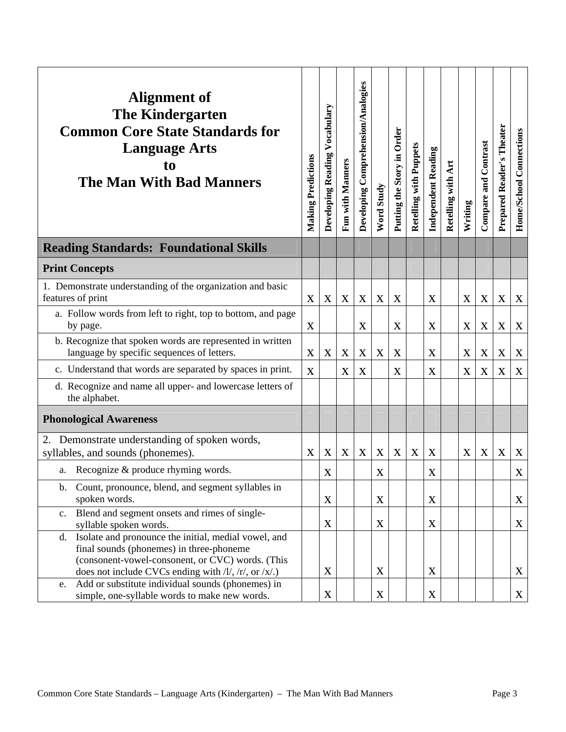| Alignment of<br><b>The Kindergarten</b><br><b>Common Core State Standards for</b><br><b>Language Arts</b><br>to<br><b>The Man With Bad Manners</b>                                                                       | <b>Making Predictions</b> | Developing Reading Vocabulary | <b>Fun with Manners</b> | Developing Comprehension/Analogies | <b>Word Study</b> | Putting the Story in Order | <b>Retelling with Puppets</b> | <b>Independent Reading</b> | Art<br>Retelling with | Writing | Compare and Contrast | Prepared Reader's Theater | Home/School Connections |
|--------------------------------------------------------------------------------------------------------------------------------------------------------------------------------------------------------------------------|---------------------------|-------------------------------|-------------------------|------------------------------------|-------------------|----------------------------|-------------------------------|----------------------------|-----------------------|---------|----------------------|---------------------------|-------------------------|
| <b>Reading Standards: Foundational Skills</b>                                                                                                                                                                            |                           |                               |                         |                                    |                   |                            |                               |                            |                       |         |                      |                           |                         |
| <b>Print Concepts</b>                                                                                                                                                                                                    |                           |                               |                         |                                    |                   |                            |                               |                            |                       |         |                      |                           |                         |
| 1. Demonstrate understanding of the organization and basic<br>features of print                                                                                                                                          | X                         | $\mathbf X$                   | X                       | X                                  | X                 | X                          |                               | X                          |                       | X       | X                    | X                         | X                       |
| a. Follow words from left to right, top to bottom, and page<br>by page.                                                                                                                                                  | X                         |                               |                         | X                                  |                   | X                          |                               | X                          |                       | X       | X                    | X                         | $\boldsymbol{X}$        |
| b. Recognize that spoken words are represented in written<br>language by specific sequences of letters.                                                                                                                  | X                         | X                             | X                       | X                                  | X                 | X                          |                               | $\mathbf X$                |                       | X       | $\mathbf X$          | X                         | X                       |
| c. Understand that words are separated by spaces in print.                                                                                                                                                               | X                         |                               | $\mathbf X$             | X                                  |                   | X                          |                               | $\mathbf X$                |                       | X       | X                    | $\boldsymbol{X}$          | X                       |
| d. Recognize and name all upper- and lowercase letters of<br>the alphabet.                                                                                                                                               |                           |                               |                         |                                    |                   |                            |                               |                            |                       |         |                      |                           |                         |
| <b>Phonological Awareness</b>                                                                                                                                                                                            |                           |                               |                         |                                    |                   |                            |                               |                            |                       |         |                      |                           |                         |
| Demonstrate understanding of spoken words,<br>syllables, and sounds (phonemes).                                                                                                                                          | X                         | $\mathbf X$                   | X                       | X                                  | X                 | X                          | X                             | X                          |                       | X       | $\mathbf X$          | X                         | X                       |
| a. Recognize & produce rhyming words.                                                                                                                                                                                    |                           | $\mathbf X$                   |                         |                                    | $\mathbf X$       |                            |                               | $\boldsymbol{X}$           |                       |         |                      |                           | $\mathbf X$             |
| Count, pronounce, blend, and segment syllables in<br>$\mathbf{b}$ .<br>spoken words.                                                                                                                                     |                           | X                             |                         |                                    | X                 |                            |                               | $\boldsymbol{\mathrm{X}}$  |                       |         |                      |                           | X                       |
| Blend and segment onsets and rimes of single-<br>c.<br>syllable spoken words.                                                                                                                                            |                           | $\mathbf X$                   |                         |                                    | $\mathbf X$       |                            |                               | $\mathbf X$                |                       |         |                      |                           | X                       |
| Isolate and pronounce the initial, medial vowel, and<br>d.<br>final sounds (phonemes) in three-phoneme<br>(consonent-vowel-consonent, or CVC) words. (This<br>does not include CVCs ending with $/l$ , $/r$ , or $/x$ .) |                           | $\boldsymbol{X}$              |                         |                                    | X                 |                            |                               | X                          |                       |         |                      |                           | X                       |
| Add or substitute individual sounds (phonemes) in<br>e.<br>simple, one-syllable words to make new words.                                                                                                                 |                           | $\mathbf X$                   |                         |                                    | $\mathbf X$       |                            |                               | $\mathbf X$                |                       |         |                      |                           | $\mathbf{X}$            |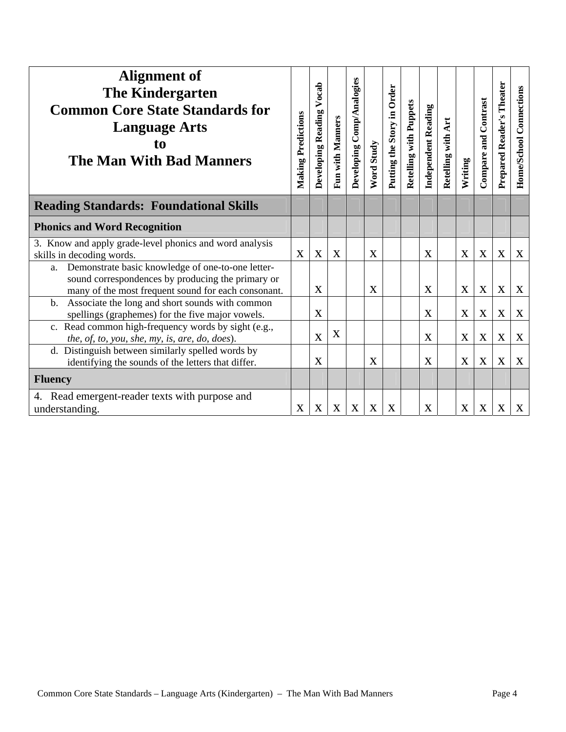| Alignment of<br><b>The Kindergarten</b><br><b>Common Core State Standards for</b><br><b>Language Arts</b><br>to<br><b>The Man With Bad Manners</b>                  | <b>Making Predictions</b> | Vocab<br>Developing Reading | Fun with Manners | Developing Comp/Analogies | Word Study | Putting the Story in Order | <b>Retelling with Puppets</b> | <b>Independent Reading</b> | Retelling with Art | Writing     | Compare and Contrast | Prepared Reader's Theater | Home/School Connections |
|---------------------------------------------------------------------------------------------------------------------------------------------------------------------|---------------------------|-----------------------------|------------------|---------------------------|------------|----------------------------|-------------------------------|----------------------------|--------------------|-------------|----------------------|---------------------------|-------------------------|
| <b>Reading Standards: Foundational Skills</b>                                                                                                                       |                           |                             |                  |                           |            |                            |                               |                            |                    |             |                      |                           |                         |
| <b>Phonics and Word Recognition</b>                                                                                                                                 |                           |                             |                  |                           |            |                            |                               |                            |                    |             |                      |                           |                         |
| 3. Know and apply grade-level phonics and word analysis<br>skills in decoding words.                                                                                | X                         | X                           | X                |                           | X          |                            |                               | $\mathbf{X}$               |                    | X           | X                    | $\mathbf X$               | X                       |
| Demonstrate basic knowledge of one-to-one letter-<br>a.<br>sound correspondences by producing the primary or<br>many of the most frequent sound for each consonant. |                           | X                           |                  |                           | X          |                            |                               | X                          |                    | $\mathbf X$ | $\mathbf{X}$         | $\mathbf X$               | X                       |
| Associate the long and short sounds with common<br>b.<br>spellings (graphemes) for the five major vowels.                                                           |                           | X                           |                  |                           |            |                            |                               | X                          |                    | X           | X                    | $\mathbf X$               | X                       |
| c. Read common high-frequency words by sight (e.g.,<br>the, of, to, you, she, my, is, are, do, does).                                                               |                           | X                           | X                |                           |            |                            |                               | X                          |                    | $\mathbf X$ | $\mathbf X$          | $\mathbf X$               | X                       |
| d. Distinguish between similarly spelled words by<br>identifying the sounds of the letters that differ.                                                             |                           | X                           |                  |                           | X          |                            |                               | X                          |                    | X           | $\mathbf X$          | $\mathbf X$               | X                       |
| <b>Fluency</b>                                                                                                                                                      |                           |                             |                  |                           |            |                            |                               |                            |                    |             |                      |                           |                         |
| 4. Read emergent-reader texts with purpose and<br>understanding.                                                                                                    | X                         | X                           | X                | X                         | X          | X                          |                               | X                          |                    | $\mathbf X$ | $\mathbf X$          | X                         | X                       |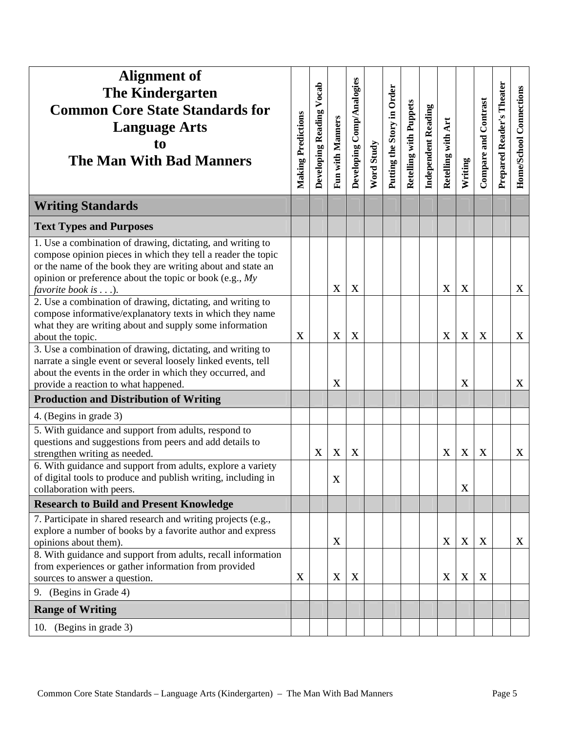| <b>Alignment of</b><br><b>The Kindergarten</b><br><b>Common Core State Standards for</b><br><b>Language Arts</b><br>t <sub>0</sub><br><b>The Man With Bad Manners</b>                                                                                                                   | <b>Making Predictions</b> | Vocab<br>Developing Reading | Fun with Manners | Developing Comp/Analogies | Word Study | Putting the Story in Order | <b>Retelling with Puppets</b> | <b>Independent Reading</b> | Retelling with Art | Writing     | Compare and Contrast | Prepared Reader's Theater | Home/School Connections |
|-----------------------------------------------------------------------------------------------------------------------------------------------------------------------------------------------------------------------------------------------------------------------------------------|---------------------------|-----------------------------|------------------|---------------------------|------------|----------------------------|-------------------------------|----------------------------|--------------------|-------------|----------------------|---------------------------|-------------------------|
| <b>Writing Standards</b>                                                                                                                                                                                                                                                                |                           |                             |                  |                           |            |                            |                               |                            |                    |             |                      |                           |                         |
| <b>Text Types and Purposes</b>                                                                                                                                                                                                                                                          |                           |                             |                  |                           |            |                            |                               |                            |                    |             |                      |                           |                         |
| 1. Use a combination of drawing, dictating, and writing to<br>compose opinion pieces in which they tell a reader the topic<br>or the name of the book they are writing about and state an<br>opinion or preference about the topic or book (e.g., $My$ )<br>favorite book is $\dots$ ). |                           |                             | $\mathbf X$      | X                         |            |                            |                               |                            | $\mathbf X$        | X           |                      |                           | X                       |
| 2. Use a combination of drawing, dictating, and writing to<br>compose informative/explanatory texts in which they name<br>what they are writing about and supply some information<br>about the topic.                                                                                   | X                         |                             | $\mathbf X$      | X                         |            |                            |                               |                            | X                  | X           | $\mathbf X$          |                           | X                       |
| 3. Use a combination of drawing, dictating, and writing to<br>narrate a single event or several loosely linked events, tell<br>about the events in the order in which they occurred, and<br>provide a reaction to what happened.                                                        |                           |                             | $\mathbf X$      |                           |            |                            |                               |                            |                    | $\mathbf X$ |                      |                           | $\mathbf{X}$            |
| <b>Production and Distribution of Writing</b>                                                                                                                                                                                                                                           |                           |                             |                  |                           |            |                            |                               |                            |                    |             |                      |                           |                         |
| 4. (Begins in grade 3)                                                                                                                                                                                                                                                                  |                           |                             |                  |                           |            |                            |                               |                            |                    |             |                      |                           |                         |
| 5. With guidance and support from adults, respond to<br>questions and suggestions from peers and add details to<br>strengthen writing as needed.                                                                                                                                        |                           | X                           | $\mathbf X$      | X                         |            |                            |                               |                            | $\mathbf X$        | $\mathbf X$ | $\mathbf X$          |                           | X                       |
| 6. With guidance and support from adults, explore a variety<br>of digital tools to produce and publish writing, including in<br>collaboration with peers.                                                                                                                               |                           |                             | $\mathbf X$      |                           |            |                            |                               |                            |                    | $\mathbf X$ |                      |                           |                         |
| <b>Research to Build and Present Knowledge</b>                                                                                                                                                                                                                                          |                           |                             |                  |                           |            |                            |                               |                            |                    |             |                      |                           |                         |
| 7. Participate in shared research and writing projects (e.g.,<br>explore a number of books by a favorite author and express<br>opinions about them).<br>8. With guidance and support from adults, recall information                                                                    |                           |                             | X                |                           |            |                            |                               |                            | X                  | X           | $\boldsymbol{X}$     |                           | X                       |
| from experiences or gather information from provided<br>sources to answer a question.                                                                                                                                                                                                   | $\boldsymbol{X}$          |                             | $\mathbf X$      | X                         |            |                            |                               |                            | X                  | X           | X                    |                           |                         |
| (Begins in Grade 4)<br>9.                                                                                                                                                                                                                                                               |                           |                             |                  |                           |            |                            |                               |                            |                    |             |                      |                           |                         |
| <b>Range of Writing</b>                                                                                                                                                                                                                                                                 |                           |                             |                  |                           |            |                            |                               |                            |                    |             |                      |                           |                         |
| 10. (Begins in grade 3)                                                                                                                                                                                                                                                                 |                           |                             |                  |                           |            |                            |                               |                            |                    |             |                      |                           |                         |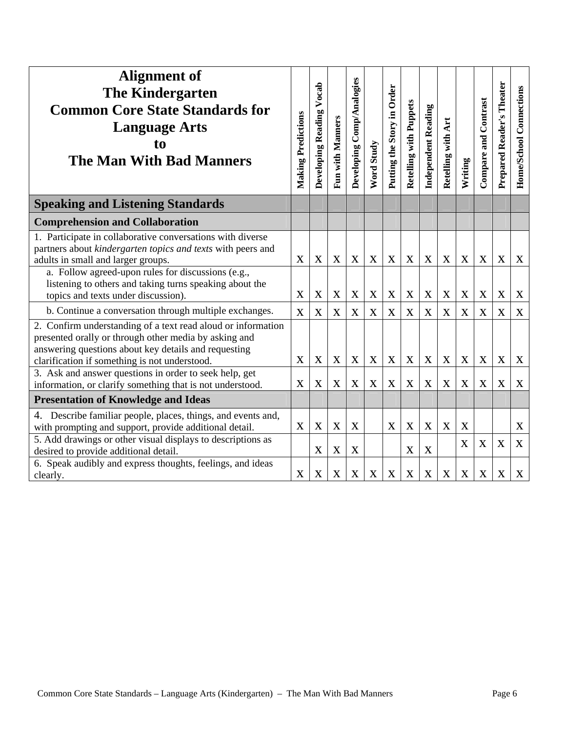| <b>Alignment of</b><br><b>The Kindergarten</b><br><b>Common Core State Standards for</b><br><b>Language Arts</b><br>to<br><b>The Man With Bad Manners</b>                                                                      | <b>Making Predictions</b> | Developing Reading Vocab | Fun with Manners | Developing Comp/Analogies | Word Study  | Putting the Story in Order | Retelling with Puppets | <b>Independent Reading</b> | Retelling with Art        | Writing     | Compare and Contrast | Prepared Reader's Theater | <b>Home/School Connections</b> |
|--------------------------------------------------------------------------------------------------------------------------------------------------------------------------------------------------------------------------------|---------------------------|--------------------------|------------------|---------------------------|-------------|----------------------------|------------------------|----------------------------|---------------------------|-------------|----------------------|---------------------------|--------------------------------|
| <b>Speaking and Listening Standards</b>                                                                                                                                                                                        |                           |                          |                  |                           |             |                            |                        |                            |                           |             |                      |                           |                                |
| <b>Comprehension and Collaboration</b>                                                                                                                                                                                         |                           |                          |                  |                           |             |                            |                        |                            |                           |             |                      |                           |                                |
| 1. Participate in collaborative conversations with diverse<br>partners about kindergarten topics and texts with peers and<br>adults in small and larger groups.<br>a. Follow agreed-upon rules for discussions (e.g.,          | X                         | X                        | $\mathbf X$      | $\mathbf X$               | $\mathbf X$ | $\mathbf X$                | X                      | $\mathbf X$                | $\mathbf X$               | $\mathbf X$ | $\mathbf X$          | $\mathbf X$               | $\mathbf X$                    |
| listening to others and taking turns speaking about the<br>topics and texts under discussion).                                                                                                                                 | X                         | X                        | $\mathbf X$      | X                         | $\mathbf X$ | $\mathbf X$                | X                      | $\mathbf X$                | $\boldsymbol{\mathrm{X}}$ | X           | $\mathbf X$          | X                         | X                              |
| b. Continue a conversation through multiple exchanges.                                                                                                                                                                         | X                         | X                        | $\mathbf X$      | X                         | $\mathbf X$ | $\mathbf X$                | X                      | $\mathbf X$                | $\mathbf X$               | $\mathbf X$ | $\mathbf X$          | $\mathbf X$               | $\mathbf X$                    |
| 2. Confirm understanding of a text read aloud or information<br>presented orally or through other media by asking and<br>answering questions about key details and requesting<br>clarification if something is not understood. | X                         | X                        | $\mathbf X$      | $\mathbf X$               | $\mathbf X$ | X                          | X                      | X                          | $\mathbf X$               | $\mathbf X$ | X                    | $\mathbf X$               | X                              |
| 3. Ask and answer questions in order to seek help, get<br>information, or clarify something that is not understood.                                                                                                            | X                         | X                        | $\mathbf X$      | $\mathbf X$               | $\bf{X}$    | $\mathbf X$                | X                      | $\mathbf X$                | $\mathbf X$               | X           | $\mathbf X$          | $\mathbf X$               | X                              |
| <b>Presentation of Knowledge and Ideas</b>                                                                                                                                                                                     |                           |                          |                  |                           |             |                            |                        |                            |                           |             |                      |                           |                                |
| 4. Describe familiar people, places, things, and events and,<br>with prompting and support, provide additional detail.                                                                                                         | $\mathbf X$               | X                        | $\mathbf X$      | X                         |             | $\mathbf X$                | X                      | X                          | X                         | X           |                      |                           | X                              |
| 5. Add drawings or other visual displays to descriptions as<br>desired to provide additional detail.                                                                                                                           |                           | X                        | $\mathbf X$      | X                         |             |                            | X                      | X                          |                           | X           | $\mathbf X$          | $\mathbf X$               | X                              |
| 6. Speak audibly and express thoughts, feelings, and ideas<br>clearly.                                                                                                                                                         | X                         | X                        | $\mathbf X$      | X                         | X           | $\mathbf X$                | X                      | $\mathbf X$                | $\mathbf X$               | $\mathbf X$ | $\mathbf X$          | $\mathbf X$               | $\mathbf X$                    |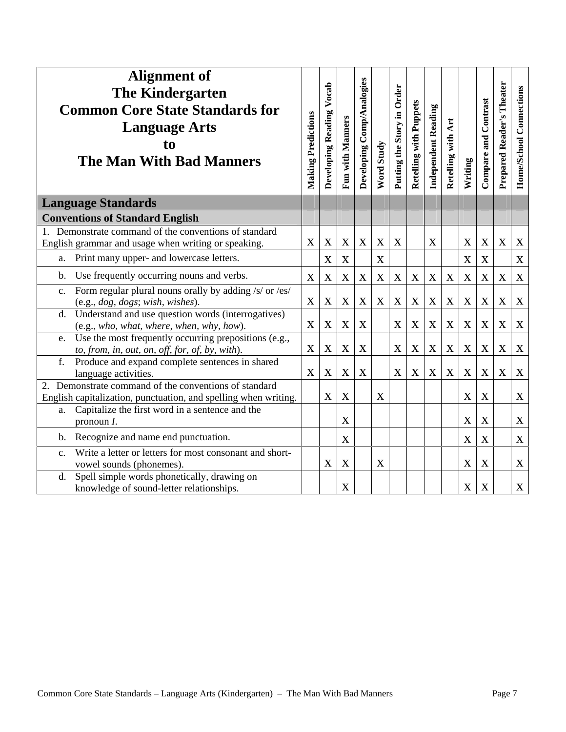| <b>Alignment of</b><br><b>The Kindergarten</b><br><b>Common Core State Standards for</b><br><b>Language Arts</b><br>to<br><b>The Man With Bad Manners</b> | <b>Making Predictions</b> | Developing Reading Vocab | <b>Fun with Manners</b> | Developing Comp/Analogies | Word Study       | Putting the Story in Order | Retelling with Puppets | Independent Reading | Retelling with Art | Writing     | <b>Compare and Contrast</b> | Prepared Reader's Theater | Home/School Connections |
|-----------------------------------------------------------------------------------------------------------------------------------------------------------|---------------------------|--------------------------|-------------------------|---------------------------|------------------|----------------------------|------------------------|---------------------|--------------------|-------------|-----------------------------|---------------------------|-------------------------|
| <b>Language Standards</b>                                                                                                                                 |                           |                          |                         |                           |                  |                            |                        |                     |                    |             |                             |                           |                         |
| <b>Conventions of Standard English</b>                                                                                                                    |                           |                          |                         |                           |                  |                            |                        |                     |                    |             |                             |                           |                         |
| 1. Demonstrate command of the conventions of standard                                                                                                     |                           |                          |                         |                           |                  |                            |                        |                     |                    |             |                             |                           |                         |
| English grammar and usage when writing or speaking.                                                                                                       | X                         | $\mathbf X$              | $\mathbf X$             | $\bf{X}$                  | $\mathbf X$      | $\mathbf X$                |                        | $\mathbf X$         |                    | $\mathbf X$ | $\mathbf X$                 | X                         | $\mathbf X$             |
| Print many upper- and lowercase letters.<br>a.                                                                                                            |                           | $\mathbf X$              | $\mathbf X$             |                           | $\mathbf X$      |                            |                        |                     |                    | $\mathbf X$ | $\mathbf X$                 |                           | $\mathbf X$             |
| Use frequently occurring nouns and verbs.<br>b.                                                                                                           | X                         | $\mathbf X$              | $\bf{X}$                | $\mathbf X$               | $\mathbf X$      | $\mathbf X$                | $\mathbf X$            | $\mathbf X$         | X                  | $\mathbf X$ | $\mathbf X$                 | $\mathbf X$               | $\mathbf X$             |
| Form regular plural nouns orally by adding /s/ or /es/<br>$\mathbf{c}$ .<br>(e.g., dog, dogs; wish, wishes).                                              | X                         | X                        | X                       | X                         | $\mathbf X$      | X                          | $\mathbf X$            | $\mathbf X$         | X                  | X           | $\mathbf X$                 | X                         | $\mathbf X$             |
| Understand and use question words (interrogatives)<br>d.                                                                                                  |                           |                          |                         |                           |                  |                            |                        |                     |                    |             |                             |                           |                         |
| (e.g., who, what, where, when, why, how).                                                                                                                 | X                         | $\mathbf X$              | $\mathbf X$             | X                         |                  | X                          | $\mathbf X$            | $\mathbf X$         | X                  | X           | $\mathbf X$                 | $\mathbf X$               | $\mathbf X$             |
| Use the most frequently occurring prepositions (e.g.,<br>e.                                                                                               |                           |                          |                         |                           |                  |                            |                        |                     |                    |             |                             |                           |                         |
| to, from, in, out, on, off, for, of, by, with).                                                                                                           | X                         | $\mathbf X$              | $\mathbf X$             | X                         |                  | X                          | $\mathbf X$            | $\mathbf X$         | $\mathbf X$        | X           | $\mathbf X$                 | X                         | $\mathbf X$             |
| f.<br>Produce and expand complete sentences in shared<br>language activities.                                                                             | $\mathbf X$               | $\mathbf X$              | $\mathbf X$             | X                         |                  | X                          | $\mathbf X$            | $\mathbf X$         | $\mathbf X$        | $\mathbf X$ | $\mathbf X$                 | $\mathbf X$               | $\mathbf X$             |
| 2. Demonstrate command of the conventions of standard                                                                                                     |                           |                          |                         |                           |                  |                            |                        |                     |                    |             |                             |                           |                         |
| English capitalization, punctuation, and spelling when writing.                                                                                           |                           | X                        | X                       |                           | $\boldsymbol{X}$ |                            |                        |                     |                    | X           | $\boldsymbol{X}$            |                           | $\mathbf X$             |
| a. Capitalize the first word in a sentence and the                                                                                                        |                           |                          |                         |                           |                  |                            |                        |                     |                    |             |                             |                           |                         |
| pronoun $I$ .                                                                                                                                             |                           |                          | X                       |                           |                  |                            |                        |                     |                    | $\mathbf X$ | X                           |                           | $\mathbf X$             |
| Recognize and name end punctuation.<br>b.                                                                                                                 |                           |                          | $\mathbf X$             |                           |                  |                            |                        |                     |                    | $\mathbf X$ | $\mathbf X$                 |                           | $\mathbf X$             |
| Write a letter or letters for most consonant and short-<br>$\mathbf{c}$ .                                                                                 |                           |                          |                         |                           |                  |                            |                        |                     |                    |             |                             |                           |                         |
| vowel sounds (phonemes).                                                                                                                                  |                           | X                        | X                       |                           | $\mathbf X$      |                            |                        |                     |                    | X           | $\mathbf X$                 |                           | $\mathbf X$             |
| Spell simple words phonetically, drawing on<br>d.<br>knowledge of sound-letter relationships.                                                             |                           |                          | X                       |                           |                  |                            |                        |                     |                    | X           | X                           |                           | $\mathbf X$             |